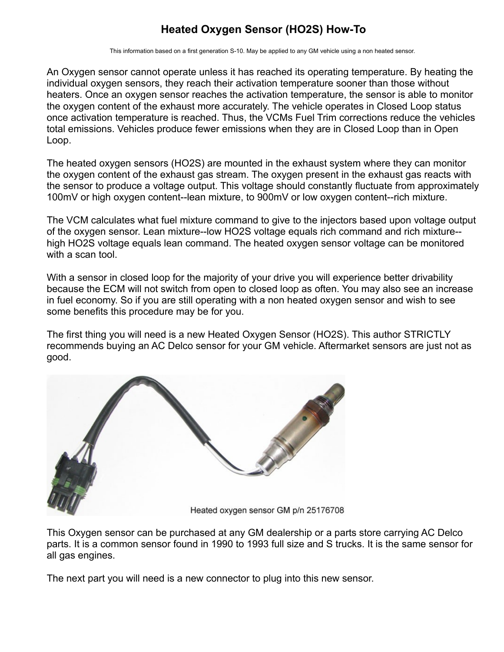## **Heated Oxygen Sensor (HO2S) How-To**

This information based on a first generation S-10. May be applied to any GM vehicle using a non heated sensor.

An Oxygen sensor cannot operate unless it has reached its operating temperature. By heating the individual oxygen sensors, they reach their activation temperature sooner than those without heaters. Once an oxygen sensor reaches the activation temperature, the sensor is able to monitor the oxygen content of the exhaust more accurately. The vehicle operates in Closed Loop status once activation temperature is reached. Thus, the VCMs Fuel Trim corrections reduce the vehicles total emissions. Vehicles produce fewer emissions when they are in Closed Loop than in Open Loop.

The heated oxygen sensors (HO2S) are mounted in the exhaust system where they can monitor the oxygen content of the exhaust gas stream. The oxygen present in the exhaust gas reacts with the sensor to produce a voltage output. This voltage should constantly fluctuate from approximately 100mV or high oxygen content--lean mixture, to 900mV or low oxygen content--rich mixture.

The VCM calculates what fuel mixture command to give to the injectors based upon voltage output of the oxygen sensor. Lean mixture--low HO2S voltage equals rich command and rich mixture- high HO2S voltage equals lean command. The heated oxygen sensor voltage can be monitored with a scan tool.

With a sensor in closed loop for the majority of your drive you will experience better drivability because the ECM will not switch from open to closed loop as often. You may also see an increase in fuel economy. So if you are still operating with a non heated oxygen sensor and wish to see some benefits this procedure may be for you.

The first thing you will need is a new Heated Oxygen Sensor (HO2S). This author STRICTLY recommends buying an AC Delco sensor for your GM vehicle. Aftermarket sensors are just not as good.



This Oxygen sensor can be purchased at any GM dealership or a parts store carrying AC Delco parts. It is a common sensor found in 1990 to 1993 full size and S trucks. It is the same sensor for all gas engines.

The next part you will need is a new connector to plug into this new sensor.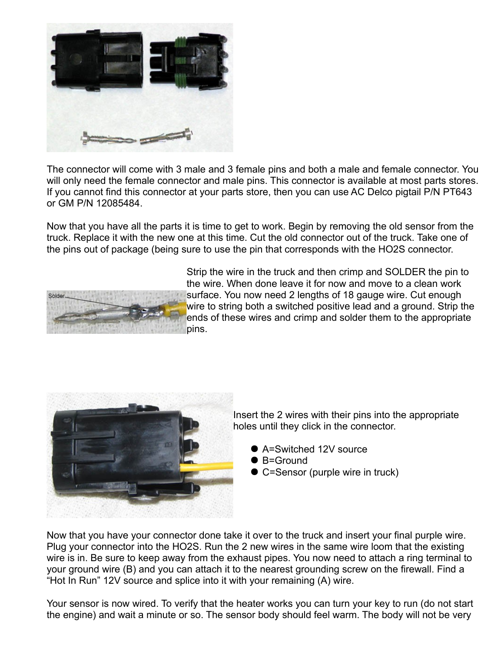

The connector will come with 3 male and 3 female pins and both a male and female connector. You will only need the female connector and male pins. This connector is available at most parts stores. If you cannot find this connector at your parts store, then you can use AC Delco pigtail P/N PT643 or GM P/N 12085484.

Now that you have all the parts it is time to get to work. Begin by removing the old sensor from the truck. Replace it with the new one at this time. Cut the old connector out of the truck. Take one of the pins out of package (being sure to use the pin that corresponds with the HO2S connector.



Strip the wire in the truck and then crimp and SOLDER the pin to the wire. When done leave it for now and move to a clean work surface. You now need 2 lengths of 18 gauge wire. Cut enough wire to string both a switched positive lead and a ground. Strip the ends of these wires and crimp and solder them to the appropriate pins.



Insert the 2 wires with their pins into the appropriate holes until they click in the connector.

- A=Switched 12V source
- B=Ground
- C=Sensor (purple wire in truck)

Now that you have your connector done take it over to the truck and insert your final purple wire. Plug your connector into the HO2S. Run the 2 new wires in the same wire loom that the existing wire is in. Be sure to keep away from the exhaust pipes. You now need to attach a ring terminal to your ground wire (B) and you can attach it to the nearest grounding screw on the firewall. Find a "Hot In Run" 12V source and splice into it with your remaining (A) wire.

Your sensor is now wired. To verify that the heater works you can turn your key to run (do not start the engine) and wait a minute or so. The sensor body should feel warm. The body will not be very